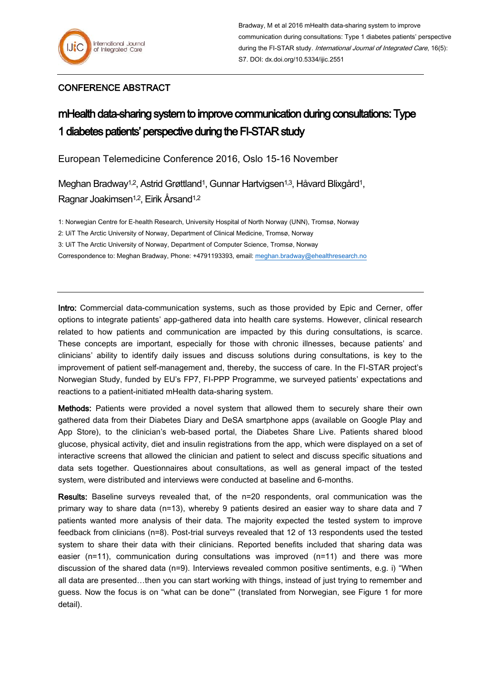## CONFERENCE ABSTRACT

## mHealth data-sharing system to improve communication during consultations: Type 1 diabetes patients' perspective during the FI-STAR study

European Telemedicine Conference 2016, Oslo 15-16 November

Meghan Bradway<sup>1,2</sup>, Astrid Grøttland<sup>1</sup>, Gunnar Hartvigsen<sup>1,3</sup>, Håvard Blixgård<sup>1</sup>, Ragnar Joakimsen1,2, Eirik Årsand1,2

1: Norwegian Centre for E-health Research, University Hospital of North Norway (UNN), Tromsø, Norway

2: UiT The Arctic University of Norway, Department of Clinical Medicine, Tromsø, Norway

3: UiT The Arctic University of Norway, Department of Computer Science, Tromsø, Norway

Correspondence to: Meghan Bradway, Phone: +4791193393, email: [meghan.bradway@ehealthresearch.no](mailto:meghan.bradway@ehealthresearch.no)

Intro: Commercial data-communication systems, such as those provided by Epic and Cerner, offer options to integrate patients' app-gathered data into health care systems. However, clinical research related to how patients and communication are impacted by this during consultations, is scarce. These concepts are important, especially for those with chronic illnesses, because patients' and clinicians' ability to identify daily issues and discuss solutions during consultations, is key to the improvement of patient self-management and, thereby, the success of care. In the FI-STAR project's Norwegian Study, funded by EU's FP7, FI-PPP Programme, we surveyed patients' expectations and reactions to a patient-initiated mHealth data-sharing system.

Methods: Patients were provided a novel system that allowed them to securely share their own gathered data from their Diabetes Diary and DeSA smartphone apps (available on Google Play and App Store), to the clinician's web-based portal, the Diabetes Share Live. Patients shared blood glucose, physical activity, diet and insulin registrations from the app, which were displayed on a set of interactive screens that allowed the clinician and patient to select and discuss specific situations and data sets together. Questionnaires about consultations, as well as general impact of the tested system, were distributed and interviews were conducted at baseline and 6-months.

Results: Baseline surveys revealed that, of the n=20 respondents, oral communication was the primary way to share data (n=13), whereby 9 patients desired an easier way to share data and 7 patients wanted more analysis of their data. The majority expected the tested system to improve feedback from clinicians (n=8). Post-trial surveys revealed that 12 of 13 respondents used the tested system to share their data with their clinicians. Reported benefits included that sharing data was easier (n=11), communication during consultations was improved (n=11) and there was more discussion of the shared data (n=9). Interviews revealed common positive sentiments, e.g. i) "When all data are presented…then you can start working with things, instead of just trying to remember and guess. Now the focus is on "what can be done"" (translated from Norwegian, see Figure 1 for more detail).